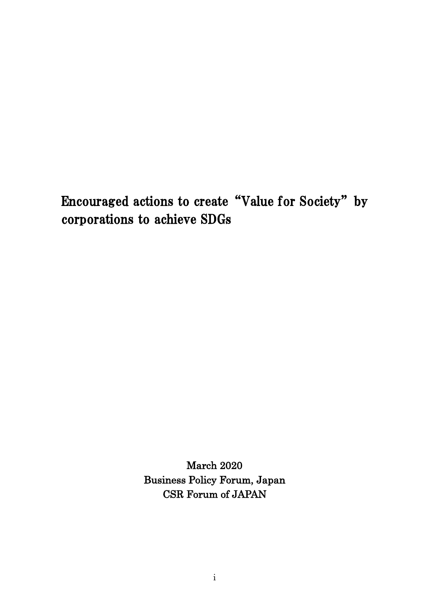Encouraged actions to create "Value for Society" by corporations to achieve SDGs

> March 2020 Business Policy Forum, Japan CSR Forum of JAPAN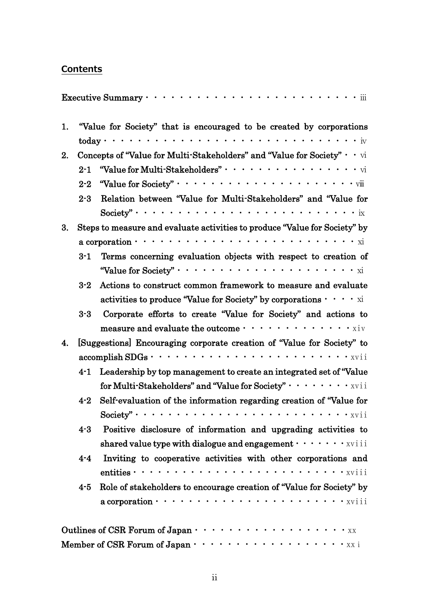# **Contents**

|    |                                                                                       | Executive Summary $\cdots$ $\cdots$ $\cdots$ $\cdots$ $\cdots$ $\cdots$ $\cdots$ $\cdots$ $\cdots$ $\cdots$ $\cdots$ $\cdots$   |  |
|----|---------------------------------------------------------------------------------------|---------------------------------------------------------------------------------------------------------------------------------|--|
| 1. |                                                                                       | "Value for Society" that is encouraged to be created by corporations                                                            |  |
|    |                                                                                       |                                                                                                                                 |  |
| 2. | Concepts of "Value for Multi-Stakeholders" and "Value for Society" $\cdot$ $\cdot$ vi |                                                                                                                                 |  |
|    |                                                                                       |                                                                                                                                 |  |
|    | $2 - 2$                                                                               |                                                                                                                                 |  |
|    | $2 - 3$                                                                               | Relation between "Value for Multi-Stakeholders" and "Value for                                                                  |  |
|    |                                                                                       |                                                                                                                                 |  |
| 3. |                                                                                       | Steps to measure and evaluate activities to produce "Value for Society" by                                                      |  |
|    |                                                                                       |                                                                                                                                 |  |
|    | $3 - 1$                                                                               | Terms concerning evaluation objects with respect to creation of                                                                 |  |
|    |                                                                                       |                                                                                                                                 |  |
|    | $3-2$                                                                                 | Actions to construct common framework to measure and evaluate                                                                   |  |
|    |                                                                                       | activities to produce "Value for Society" by corporations $\cdots$ $\cdots$ xi                                                  |  |
|    | $3-3$                                                                                 | Corporate efforts to create "Value for Society" and actions to                                                                  |  |
|    |                                                                                       | measure and evaluate the outcome $\cdots \cdots \cdots \cdots \cdots$                                                           |  |
| 4. |                                                                                       | [Suggestions] Encouraging corporate creation of "Value for Society" to                                                          |  |
|    |                                                                                       |                                                                                                                                 |  |
|    | $4-1$                                                                                 | Leadership by top management to create an integrated set of "Value"                                                             |  |
|    |                                                                                       | for Multi-Stakeholders" and "Value for Society" $\cdots \cdots \cdots$                                                          |  |
|    | $4 - 2$                                                                               | Self-evaluation of the information regarding creation of "Value for                                                             |  |
|    |                                                                                       |                                                                                                                                 |  |
|    | $4-3$                                                                                 | Positive disclosure of information and upgrading activities to                                                                  |  |
|    |                                                                                       | shared value type with dialogue and engagement $\cdots \cdots$ xviii                                                            |  |
|    | $4-4$                                                                                 | Inviting to cooperative activities with other corporations and                                                                  |  |
|    |                                                                                       | entities $\cdots \cdots \cdots \cdots \cdots \cdots \cdots \cdots \cdots \cdots$                                                |  |
|    | $4-5$                                                                                 | Role of stakeholders to encourage creation of "Value for Society" by                                                            |  |
|    |                                                                                       | $a$ corporation $\cdots \cdots \cdots \cdots \cdots \cdots \cdots \cdots$                                                       |  |
|    |                                                                                       |                                                                                                                                 |  |
|    |                                                                                       | Member of CSR Forum of Japan $\cdots$ $\cdots$ $\cdots$ $\cdots$ $\cdots$ $\cdots$ $\cdots$ $\cdots$ $\cdots$ $\cdots$ $\cdots$ |  |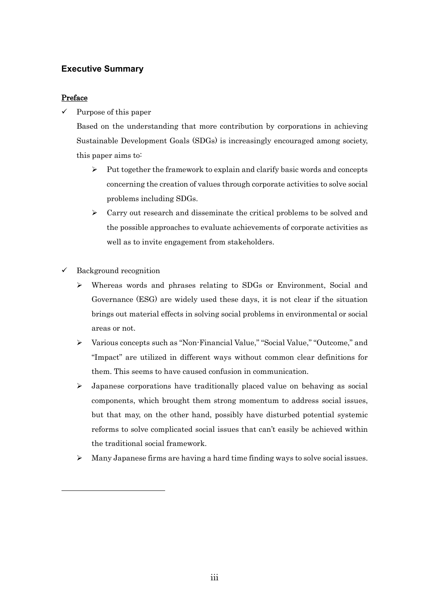### **Executive Summary**

### Preface

 $\checkmark$  Purpose of this paper

Based on the understanding that more contribution by corporations in achieving Sustainable Development Goals (SDGs) is increasingly encouraged among society, this paper aims to:

- $\triangleright$  Put together the framework to explain and clarify basic words and concepts concerning the creation of values through corporate activities to solve social problems including SDGs.
- $\triangleright$  Carry out research and disseminate the critical problems to be solved and the possible approaches to evaluate achievements of corporate activities as well as to invite engagement from stakeholders.
- $\checkmark$  Background recognition
	- $\triangleright$  Whereas words and phrases relating to SDGs or Environment, Social and Governance (ESG) are widely used these days, it is not clear if the situation brings out material effects in solving social problems in environmental or social areas or not.
	- Various concepts such as "Non-Financial Value," "Social Value," "Outcome," and "Impact" are utilized in different ways without common clear definitions for them. This seems to have caused confusion in communication.
	- $\triangleright$  Japanese corporations have traditionally placed value on behaving as social components, which brought them strong momentum to address social issues, but that may, on the other hand, possibly have disturbed potential systemic reforms to solve complicated social issues that can't easily be achieved within the traditional social framework.
	- $\triangleright$  Many Japanese firms are having a hard time finding ways to solve social issues.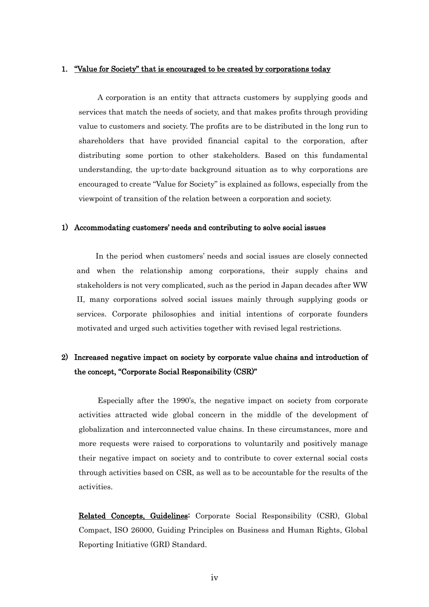#### 1. "Value for Society" that is encouraged to be created by corporations today

A corporation is an entity that attracts customers by supplying goods and services that match the needs of society, and that makes profits through providing value to customers and society. The profits are to be distributed in the long run to shareholders that have provided financial capital to the corporation, after distributing some portion to other stakeholders. Based on this fundamental understanding, the up-to-date background situation as to why corporations are encouraged to create "Value for Society" is explained as follows, especially from the viewpoint of transition of the relation between a corporation and society.

#### 1) Accommodating customers' needs and contributing to solve social issues

In the period when customers' needs and social issues are closely connected and when the relationship among corporations, their supply chains and stakeholders is not very complicated, such as the period in Japan decades after WW II, many corporations solved social issues mainly through supplying goods or services. Corporate philosophies and initial intentions of corporate founders motivated and urged such activities together with revised legal restrictions.

### 2) Increased negative impact on society by corporate value chains and introduction of the concept, "Corporate Social Responsibility (CSR)"

Especially after the 1990's, the negative impact on society from corporate activities attracted wide global concern in the middle of the development of globalization and interconnected value chains. In these circumstances, more and more requests were raised to corporations to voluntarily and positively manage their negative impact on society and to contribute to cover external social costs through activities based on CSR, as well as to be accountable for the results of the activities.

Related Concepts, Guidelines: Corporate Social Responsibility (CSR), Global Compact, ISO 26000, Guiding Principles on Business and Human Rights, Global Reporting Initiative (GRI) Standard.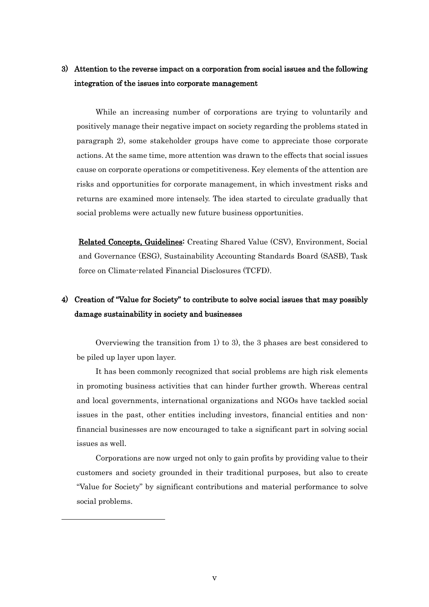### 3) Attention to the reverse impact on a corporation from social issues and the following integration of the issues into corporate management

While an increasing number of corporations are trying to voluntarily and positively manage their negative impact on society regarding the problems stated in paragraph 2), some stakeholder groups have come to appreciate those corporate actions. At the same time, more attention was drawn to the effects that social issues cause on corporate operations or competitiveness. Key elements of the attention are risks and opportunities for corporate management, in which investment risks and returns are examined more intensely. The idea started to circulate gradually that social problems were actually new future business opportunities.

Related Concepts, Guidelines: Creating Shared Value (CSV), Environment, Social and Governance (ESG), Sustainability Accounting Standards Board (SASB), Task force on Climate-related Financial Disclosures (TCFD).

# 4) Creation of "Value for Society" to contribute to solve social issues that may possibly damage sustainability in society and businesses

Overviewing the transition from 1) to 3), the 3 phases are best considered to be piled up layer upon layer.

It has been commonly recognized that social problems are high risk elements in promoting business activities that can hinder further growth. Whereas central and local governments, international organizations and NGOs have tackled social issues in the past, other entities including investors, financial entities and nonfinancial businesses are now encouraged to take a significant part in solving social issues as well.

Corporations are now urged not only to gain profits by providing value to their customers and society grounded in their traditional purposes, but also to create "Value for Society" by significant contributions and material performance to solve social problems.

 $\overline{a}$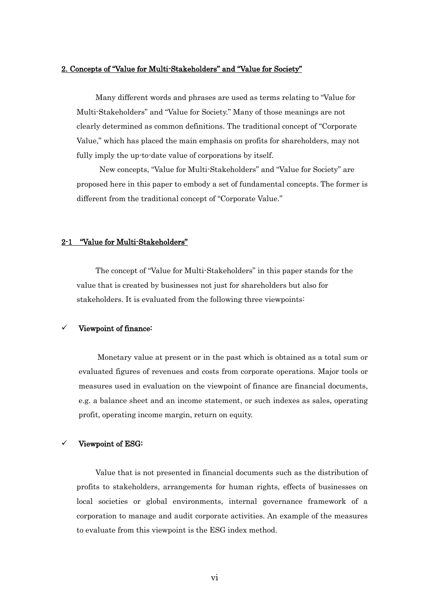### 2. Concepts of "Value for Multi-Stakeholders" and "Value for Society"

Many different words and phrases are used as terms relating to "Value for Multi-Stakeholders" and "Value for Society." Many of those meanings are not clearly determined as common definitions. The traditional concept of "Corporate Value," which has placed the main emphasis on profits for shareholders, may not fully imply the up-to-date value of corporations by itself.

New concepts, "Value for Multi-Stakeholders" and "Value for Society" are proposed here in this paper to embody a set of fundamental concepts. The former is different from the traditional concept of "Corporate Value."

### 2-1 "Value for Multi-Stakeholders"

The concept of "Value for Multi-Stakeholders" in this paper stands for the value that is created by businesses not just for shareholders but also for stakeholders. It is evaluated from the following three viewpoints:

### Viewpoint of finance:

Monetary value at present or in the past which is obtained as a total sum or evaluated figures of revenues and costs from corporate operations. Major tools or measures used in evaluation on the viewpoint of finance are financial documents, e.g. a balance sheet and an income statement, or such indexes as sales, operating profit, operating income margin, return on equity.

#### Viewpoint of ESG:

Value that is not presented in financial documents such as the distribution of profits to stakeholders, arrangements for human rights, effects of businesses on local societies or global environments, internal governance framework of a corporation to manage and audit corporate activities. An example of the measures to evaluate from this viewpoint is the ESG index method.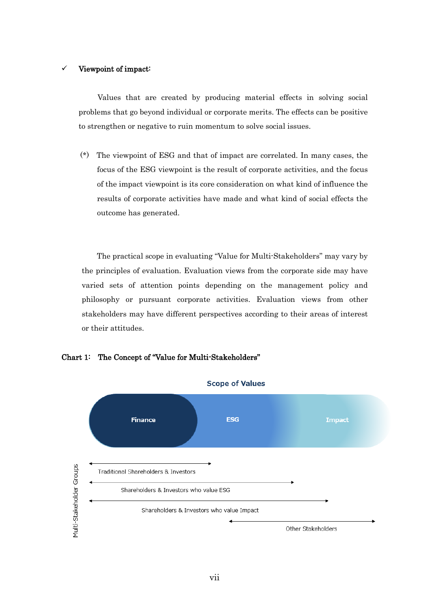### Viewpoint of impact:

Values that are created by producing material effects in solving social problems that go beyond individual or corporate merits. The effects can be positive to strengthen or negative to ruin momentum to solve social issues.

 (\*) The viewpoint of ESG and that of impact are correlated. In many cases, the focus of the ESG viewpoint is the result of corporate activities, and the focus of the impact viewpoint is its core consideration on what kind of influence the results of corporate activities have made and what kind of social effects the outcome has generated.

The practical scope in evaluating "Value for Multi-Stakeholders" may vary by the principles of evaluation. Evaluation views from the corporate side may have varied sets of attention points depending on the management policy and philosophy or pursuant corporate activities. Evaluation views from other stakeholders may have different perspectives according to their areas of interest or their attitudes.



Chart 1: The Concept of "Value for Multi-Stakeholders"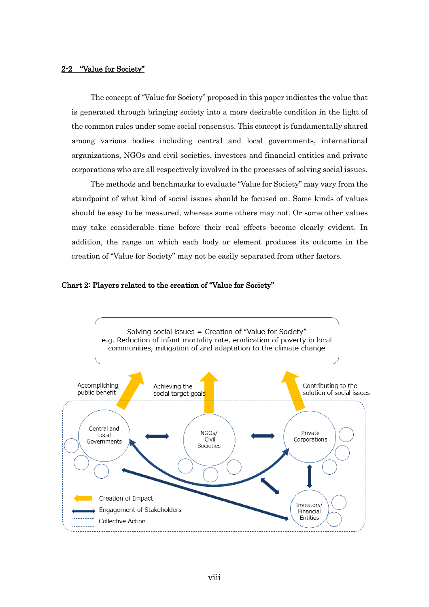### 2-2 "Value for Society"

The concept of "Value for Society" proposed in this paper indicates the value that is generated through bringing society into a more desirable condition in the light of the common rules under some social consensus. This concept is fundamentally shared among various bodies including central and local governments, international organizations, NGOs and civil societies, investors and financial entities and private corporations who are all respectively involved in the processes of solving social issues.

The methods and benchmarks to evaluate "Value for Society" may vary from the standpoint of what kind of social issues should be focused on. Some kinds of values should be easy to be measured, whereas some others may not. Or some other values may take considerable time before their real effects become clearly evident. In addition, the range on which each body or element produces its outcome in the creation of "Value for Society" may not be easily separated from other factors.



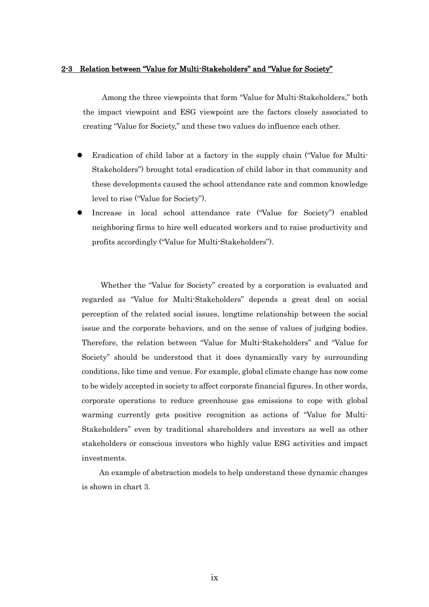### 2-3 Relation between "Value for Multi-Stakeholders" and "Value for Society"

Among the three viewpoints that form "Value for Multi-Stakeholders," both the impact viewpoint and ESG viewpoint are the factors closely associated to creating "Value for Society," and these two values do influence each other.

- Eradication of child labor at a factory in the supply chain ("Value for Multi-Stakeholders") brought total eradication of child labor in that community and these developments caused the school attendance rate and common knowledge level to rise ("Value for Society").
- Increase in local school attendance rate ("Value for Society") enabled neighboring firms to hire well educated workers and to raise productivity and profits accordingly ("Value for Multi-Stakeholders").

Whether the "Value for Society" created by a corporation is evaluated and regarded as "Value for Multi-Stakeholders" depends a great deal on social perception of the related social issues, longtime relationship between the social issue and the corporate behaviors, and on the sense of values of judging bodies. Therefore, the relation between "Value for Multi-Stakeholders" and "Value for Society" should be understood that it does dynamically vary by surrounding conditions, like time and venue. For example, global climate change has now come to be widely accepted in society to affect corporate financial figures. In other words, corporate operations to reduce greenhouse gas emissions to cope with global warming currently gets positive recognition as actions of "Value for Multi-Stakeholders" even by traditional shareholders and investors as well as other stakeholders or conscious investors who highly value ESG activities and impact investments.

 An example of abstraction models to help understand these dynamic changes is shown in chart 3.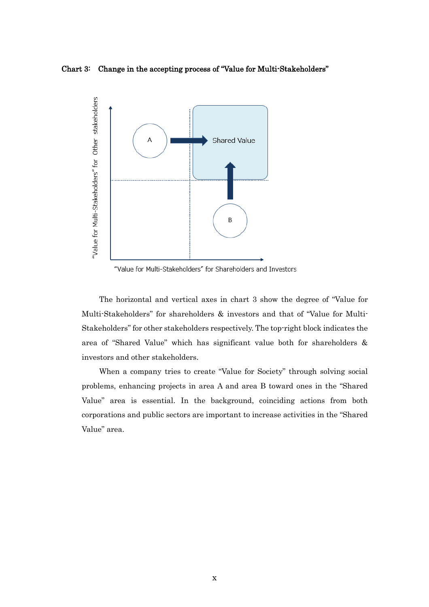Chart 3: Change in the accepting process of "Value for Multi-Stakeholders"



"Value for Multi-Stakeholders" for Shareholders and Investors

 The horizontal and vertical axes in chart 3 show the degree of "Value for Multi-Stakeholders" for shareholders & investors and that of "Value for Multi-Stakeholders" for other stakeholders respectively. The top-right block indicates the area of "Shared Value" which has significant value both for shareholders & investors and other stakeholders.

 When a company tries to create "Value for Society" through solving social problems, enhancing projects in area A and area B toward ones in the "Shared Value" area is essential. In the background, coinciding actions from both corporations and public sectors are important to increase activities in the "Shared Value" area.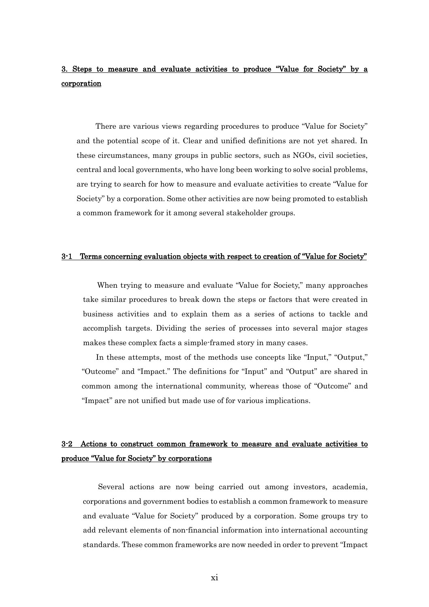## 3. Steps to measure and evaluate activities to produce "Value for Society" by a corporation

There are various views regarding procedures to produce "Value for Society" and the potential scope of it. Clear and unified definitions are not yet shared. In these circumstances, many groups in public sectors, such as NGOs, civil societies, central and local governments, who have long been working to solve social problems, are trying to search for how to measure and evaluate activities to create "Value for Society" by a corporation. Some other activities are now being promoted to establish a common framework for it among several stakeholder groups.

#### 3-1 Terms concerning evaluation objects with respect to creation of "Value for Society"

When trying to measure and evaluate "Value for Society," many approaches take similar procedures to break down the steps or factors that were created in business activities and to explain them as a series of actions to tackle and accomplish targets. Dividing the series of processes into several major stages makes these complex facts a simple-framed story in many cases.

In these attempts, most of the methods use concepts like "Input," "Output," "Outcome" and "Impact." The definitions for "Input" and "Output" are shared in common among the international community, whereas those of "Outcome" and "Impact" are not unified but made use of for various implications.

### 3-2 Actions to construct common framework to measure and evaluate activities to produce "Value for Society" by corporations

Several actions are now being carried out among investors, academia, corporations and government bodies to establish a common framework to measure and evaluate "Value for Society" produced by a corporation. Some groups try to add relevant elements of non-financial information into international accounting standards. These common frameworks are now needed in order to prevent "Impact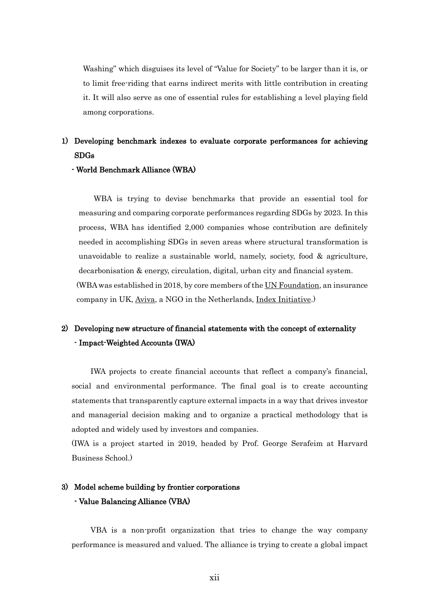Washing" which disguises its level of "Value for Society" to be larger than it is, or to limit free-riding that earns indirect merits with little contribution in creating it. It will also serve as one of essential rules for establishing a level playing field among corporations.

# 1) Developing benchmark indexes to evaluate corporate performances for achieving SDGs

### - World Benchmark Alliance (WBA)

WBA is trying to devise benchmarks that provide an essential tool for measuring and comparing corporate performances regarding SDGs by 2023. In this process, WBA has identified 2,000 companies whose contribution are definitely needed in accomplishing SDGs in seven areas where structural transformation is unavoidable to realize a sustainable world, namely, society, food & agriculture, decarbonisation & energy, circulation, digital, urban city and financial system. (WBA was established in 2018, by core members of the UN Foundation, an insurance company in UK, Aviva, a NGO in the Netherlands, Index Initiative.)

# 2) Developing new structure of financial statements with the concept of externality - Impact-Weighted Accounts (IWA)

IWA projects to create financial accounts that reflect a company's financial, social and environmental performance. The final goal is to create accounting statements that transparently capture external impacts in a way that drives investor and managerial decision making and to organize a practical methodology that is adopted and widely used by investors and companies.

(IWA is a project started in 2019, headed by Prof. George Serafeim at Harvard Business School.)

# 3) Model scheme building by frontier corporations - Value Balancing Alliance (VBA)

VBA is a non-profit organization that tries to change the way company performance is measured and valued. The alliance is trying to create a global impact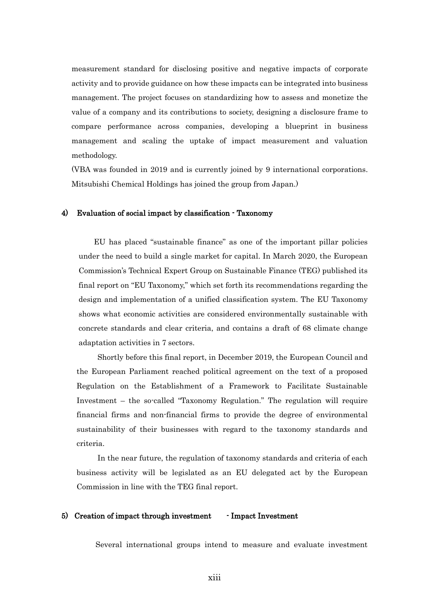measurement standard for disclosing positive and negative impacts of corporate activity and to provide guidance on how these impacts can be integrated into business management. The project focuses on standardizing how to assess and monetize the value of a company and its contributions to society, designing a disclosure frame to compare performance across companies, developing a blueprint in business management and scaling the uptake of impact measurement and valuation methodology.

(VBA was founded in 2019 and is currently joined by 9 international corporations. Mitsubishi Chemical Holdings has joined the group from Japan.)

#### 4) Evaluation of social impact by classification - Taxonomy

EU has placed "sustainable finance" as one of the important pillar policies under the need to build a single market for capital. In March 2020, the European Commission's Technical Expert Group on Sustainable Finance (TEG) published its final report on "EU Taxonomy," which set forth its recommendations regarding the design and implementation of a unified classification system. The EU Taxonomy shows what economic activities are considered environmentally sustainable with concrete standards and clear criteria, and contains a draft of 68 climate change adaptation activities in 7 sectors.

Shortly before this final report, in December 2019, the European Council and the European Parliament reached political agreement on the text of a proposed Regulation on the Establishment of a Framework to Facilitate Sustainable Investment – the so-called "Taxonomy Regulation." The regulation will require financial firms and non-financial firms to provide the degree of environmental sustainability of their businesses with regard to the taxonomy standards and criteria.

In the near future, the regulation of taxonomy standards and criteria of each business activity will be legislated as an EU delegated act by the European Commission in line with the TEG final report.

#### 5) Creation of impact through investment - Impact Investment

Several international groups intend to measure and evaluate investment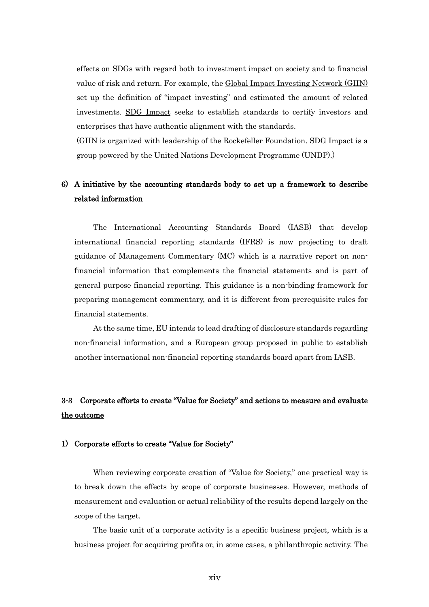effects on SDGs with regard both to investment impact on society and to financial value of risk and return. For example, the Global Impact Investing Network (GIIN) set up the definition of "impact investing" and estimated the amount of related investments. SDG Impact seeks to establish standards to certify investors and enterprises that have authentic alignment with the standards.

(GIIN is organized with leadership of the Rockefeller Foundation. SDG Impact is a group powered by the United Nations Development Programme (UNDP).)

### 6) A initiative by the accounting standards body to set up a framework to describe related information

The International Accounting Standards Board (IASB) that develop international financial reporting standards (IFRS) is now projecting to draft guidance of Management Commentary (MC) which is a narrative report on nonfinancial information that complements the financial statements and is part of general purpose financial reporting. This guidance is a non-binding framework for preparing management commentary, and it is different from prerequisite rules for financial statements.

At the same time, EU intends to lead drafting of disclosure standards regarding non-financial information, and a European group proposed in public to establish another international non-financial reporting standards board apart from IASB.

## 3-3 Corporate efforts to create "Value for Society" and actions to measure and evaluate the outcome

#### 1) Corporate efforts to create "Value for Society"

When reviewing corporate creation of "Value for Society," one practical way is to break down the effects by scope of corporate businesses. However, methods of measurement and evaluation or actual reliability of the results depend largely on the scope of the target.

The basic unit of a corporate activity is a specific business project, which is a business project for acquiring profits or, in some cases, a philanthropic activity. The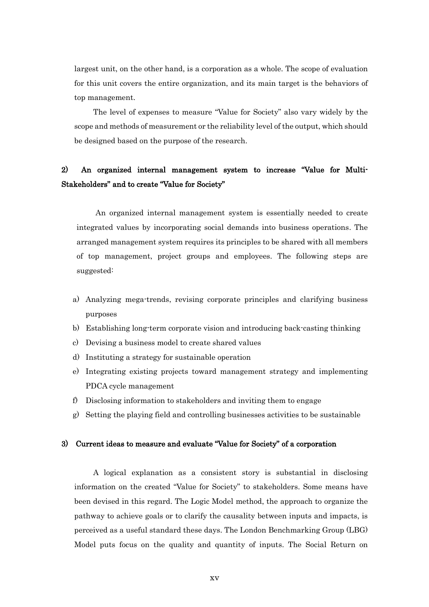largest unit, on the other hand, is a corporation as a whole. The scope of evaluation for this unit covers the entire organization, and its main target is the behaviors of top management.

The level of expenses to measure "Value for Society" also vary widely by the scope and methods of measurement or the reliability level of the output, which should be designed based on the purpose of the research.

# 2) An organized internal management system to increase "Value for Multi-Stakeholders" and to create "Value for Society"

An organized internal management system is essentially needed to create integrated values by incorporating social demands into business operations. The arranged management system requires its principles to be shared with all members of top management, project groups and employees. The following steps are suggested:

- a) Analyzing mega-trends, revising corporate principles and clarifying business purposes
- b) Establishing long-term corporate vision and introducing back-casting thinking
- c) Devising a business model to create shared values
- d) Instituting a strategy for sustainable operation
- e) Integrating existing projects toward management strategy and implementing PDCA cycle management
- f) Disclosing information to stakeholders and inviting them to engage
- g) Setting the playing field and controlling businesses activities to be sustainable

#### 3) Current ideas to measure and evaluate "Value for Society" of a corporation

A logical explanation as a consistent story is substantial in disclosing information on the created "Value for Society" to stakeholders. Some means have been devised in this regard. The Logic Model method, the approach to organize the pathway to achieve goals or to clarify the causality between inputs and impacts, is perceived as a useful standard these days. The London Benchmarking Group (LBG) Model puts focus on the quality and quantity of inputs. The Social Return on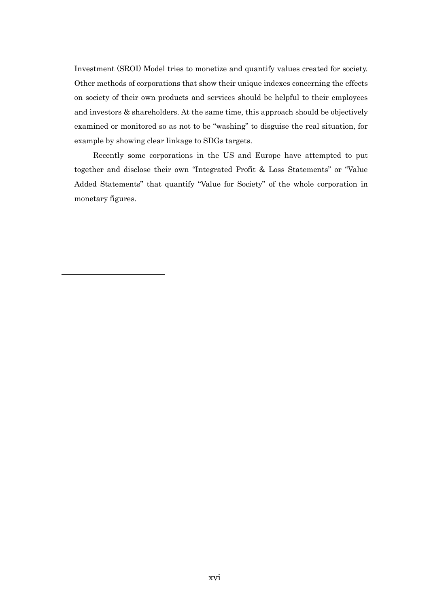Investment (SROI) Model tries to monetize and quantify values created for society. Other methods of corporations that show their unique indexes concerning the effects on society of their own products and services should be helpful to their employees and investors & shareholders. At the same time, this approach should be objectively examined or monitored so as not to be "washing" to disguise the real situation, for example by showing clear linkage to SDGs targets.

Recently some corporations in the US and Europe have attempted to put together and disclose their own "Integrated Profit & Loss Statements" or "Value Added Statements" that quantify "Value for Society" of the whole corporation in monetary figures.

 $\overline{\phantom{a}}$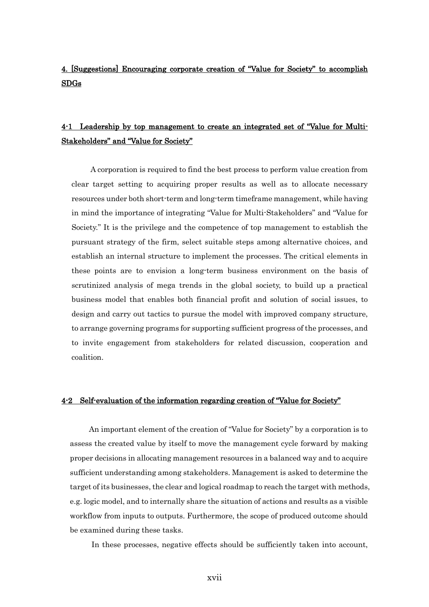# 4. [Suggestions] Encouraging corporate creation of "Value for Society" to accomplish SDGs

## 4-1 Leadership by top management to create an integrated set of "Value for Multi-Stakeholders" and "Value for Society"

A corporation is required to find the best process to perform value creation from clear target setting to acquiring proper results as well as to allocate necessary resources under both short-term and long-term timeframe management, while having in mind the importance of integrating "Value for Multi-Stakeholders" and "Value for Society." It is the privilege and the competence of top management to establish the pursuant strategy of the firm, select suitable steps among alternative choices, and establish an internal structure to implement the processes. The critical elements in these points are to envision a long-term business environment on the basis of scrutinized analysis of mega trends in the global society, to build up a practical business model that enables both financial profit and solution of social issues, to design and carry out tactics to pursue the model with improved company structure, to arrange governing programs for supporting sufficient progress of the processes, and to invite engagement from stakeholders for related discussion, cooperation and coalition.

### 4-2 Self-evaluation of the information regarding creation of "Value for Society"

An important element of the creation of "Value for Society" by a corporation is to assess the created value by itself to move the management cycle forward by making proper decisions in allocating management resources in a balanced way and to acquire sufficient understanding among stakeholders. Management is asked to determine the target of its businesses, the clear and logical roadmap to reach the target with methods, e.g. logic model, and to internally share the situation of actions and results as a visible workflow from inputs to outputs. Furthermore, the scope of produced outcome should be examined during these tasks.

In these processes, negative effects should be sufficiently taken into account,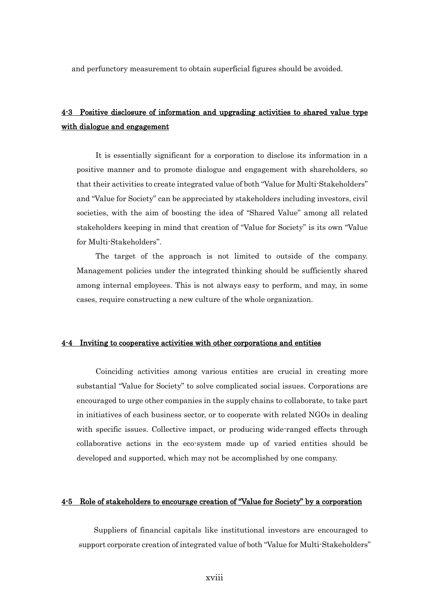and perfunctory measurement to obtain superficial figures should be avoided.

## 4-3 Positive disclosure of information and upgrading activities to shared value type with dialogue and engagement

It is essentially significant for a corporation to disclose its information in a positive manner and to promote dialogue and engagement with shareholders, so that their activities to create integrated value of both "Value for Multi-Stakeholders" and "Value for Society" can be appreciated by stakeholders including investors, civil societies, with the aim of boosting the idea of "Shared Value" among all related stakeholders keeping in mind that creation of "Value for Society" is its own "Value for Multi-Stakeholders".

 The target of the approach is not limited to outside of the company. Management policies under the integrated thinking should be sufficiently shared among internal employees. This is not always easy to perform, and may, in some cases, require constructing a new culture of the whole organization.

### 4-4 Inviting to cooperative activities with other corporations and entities

Coinciding activities among various entities are crucial in creating more substantial "Value for Society" to solve complicated social issues. Corporations are encouraged to urge other companies in the supply chains to collaborate, to take part in initiatives of each business sector, or to cooperate with related NGOs in dealing with specific issues. Collective impact, or producing wide-ranged effects through collaborative actions in the eco-system made up of varied entities should be developed and supported, which may not be accomplished by one company.

### 4-5 Role of stakeholders to encourage creation of "Value for Society" by a corporation

Suppliers of financial capitals like institutional investors are encouraged to support corporate creation of integrated value of both "Value for Multi-Stakeholders"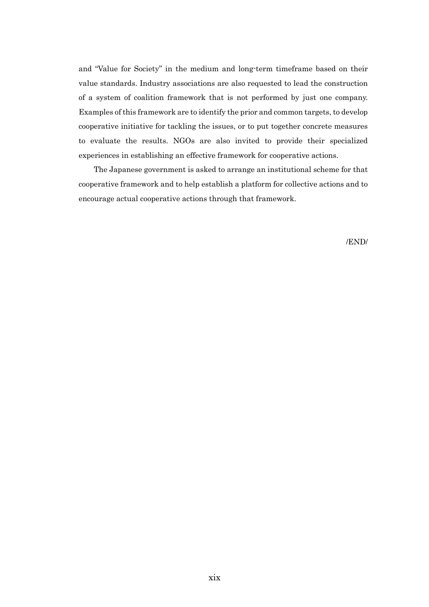and "Value for Society" in the medium and long-term timeframe based on their value standards. Industry associations are also requested to lead the construction of a system of coalition framework that is not performed by just one company. Examples of this framework are to identify the prior and common targets, to develop cooperative initiative for tackling the issues, or to put together concrete measures to evaluate the results. NGOs are also invited to provide their specialized experiences in establishing an effective framework for cooperative actions.

The Japanese government is asked to arrange an institutional scheme for that cooperative framework and to help establish a platform for collective actions and to encourage actual cooperative actions through that framework.

/END/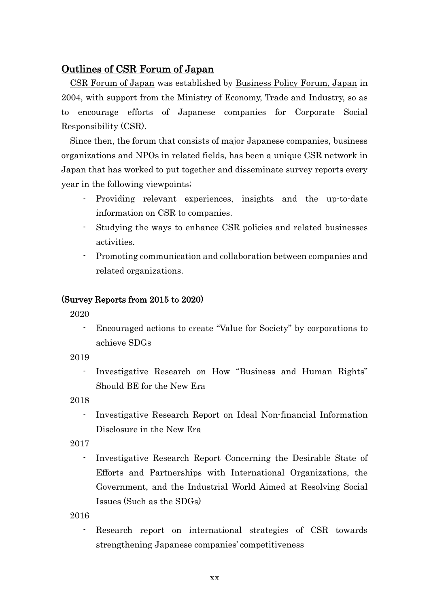## Outlines of CSR Forum of Japan

CSR Forum of Japan was established by Business Policy Forum, Japan in 2004, with support from the Ministry of Economy, Trade and Industry, so as to encourage efforts of Japanese companies for Corporate Social Responsibility (CSR).

Since then, the forum that consists of major Japanese companies, business organizations and NPOs in related fields, has been a unique CSR network in Japan that has worked to put together and disseminate survey reports every year in the following viewpoints;

- Providing relevant experiences, insights and the up-to-date information on CSR to companies.
- Studying the ways to enhance CSR policies and related businesses activities.
- Promoting communication and collaboration between companies and related organizations.

### (Survey Reports from 2015 to 2020)

2020

- Encouraged actions to create "Value for Society" by corporations to achieve SDGs

2019

- Investigative Research on How "Business and Human Rights" Should BE for the New Era

2018

- Investigative Research Report on Ideal Non-financial Information Disclosure in the New Era

2017

Investigative Research Report Concerning the Desirable State of Efforts and Partnerships with International Organizations, the Government, and the Industrial World Aimed at Resolving Social Issues (Such as the SDGs)

2016

- Research report on international strategies of CSR towards strengthening Japanese companies' competitiveness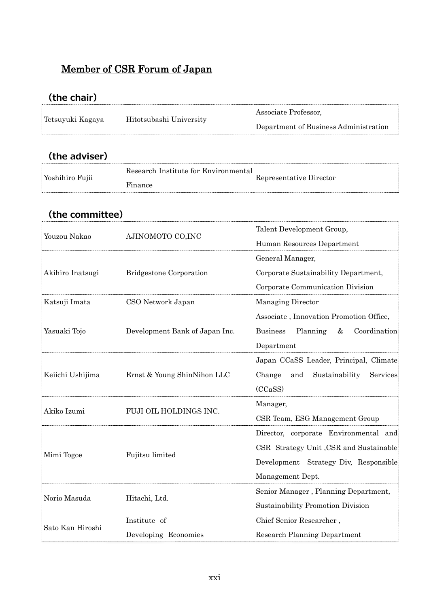# Member of CSR Forum of Japan

# **(the chair)**

| Tetsuyuki Kagaya | Hitotsubashi University | Associate Professor,                  |
|------------------|-------------------------|---------------------------------------|
|                  |                         | Department of Business Administration |

# **(the adviser)**

| Yoshihiro Fujii | Research Institute for Environmental | Representative Director |
|-----------------|--------------------------------------|-------------------------|
|                 | Finance                              |                         |

# **(the committee)**

|                  | AJINOMOTO CO, INC              | Talent Development Group,                           |  |  |
|------------------|--------------------------------|-----------------------------------------------------|--|--|
| Youzou Nakao     |                                | Human Resources Department                          |  |  |
|                  | <b>Bridgestone Corporation</b> | General Manager,                                    |  |  |
| Akihiro Inatsugi |                                | Corporate Sustainability Department,                |  |  |
|                  |                                | Corporate Communication Division                    |  |  |
| Katsuji Imata    | CSO Network Japan              | Managing Director                                   |  |  |
|                  | Development Bank of Japan Inc. | Associate, Innovation Promotion Office,             |  |  |
| Yasuaki Tojo     |                                | <b>Business</b><br>Planning<br>$\&$<br>Coordination |  |  |
|                  |                                | Department                                          |  |  |
|                  | Ernst & Young ShinNihon LLC    | Japan CCaSS Leader, Principal, Climate              |  |  |
| Keiichi Ushijima |                                | Change<br>Sustainability<br>Services<br>and         |  |  |
|                  |                                | (CCaSS)                                             |  |  |
|                  | FUJI OIL HOLDINGS INC.         | Manager,                                            |  |  |
| Akiko Izumi      |                                | CSR Team, ESG Management Group                      |  |  |
|                  | Fujitsu limited                | Director, corporate Environmental and               |  |  |
|                  |                                | CSR Strategy Unit, CSR and Sustainable              |  |  |
| Mimi Togoe       |                                | Development Strategy Div, Responsible               |  |  |
|                  |                                | Management Dept.                                    |  |  |
|                  |                                | Senior Manager, Planning Department,                |  |  |
| Norio Masuda     | Hitachi, Ltd.                  | Sustainability Promotion Division                   |  |  |
|                  | Institute of                   | Chief Senior Researcher,                            |  |  |
| Sato Kan Hiroshi | Developing Economies           | <b>Research Planning Department</b>                 |  |  |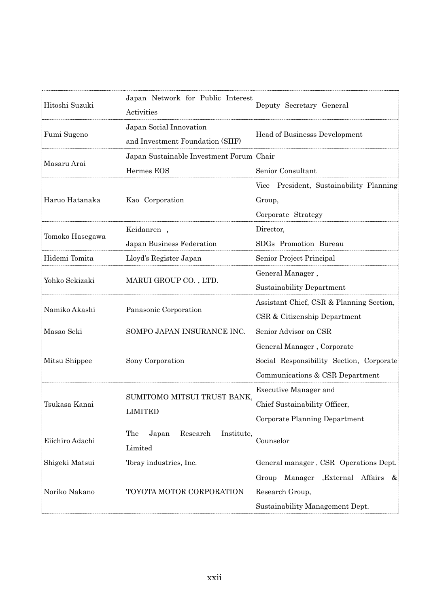| Hitoshi Suzuki  | Japan Network for Public Interest<br>Activities             | Deputy Secretary General                                                                                  |  |
|-----------------|-------------------------------------------------------------|-----------------------------------------------------------------------------------------------------------|--|
| Fumi Sugeno     | Japan Social Innovation<br>and Investment Foundation (SIIF) | Head of Businesss Development                                                                             |  |
| Masaru Arai     | Japan Sustainable Investment Forum Chair<br>Hermes EOS      | Senior Consultant                                                                                         |  |
| Haruo Hatanaka  | Kao Corporation                                             | Vice President, Sustainability Planning<br>Group,<br>Corporate Strategy                                   |  |
| Tomoko Hasegawa | Keidanren,                                                  | Director,                                                                                                 |  |
|                 | Japan Business Federation                                   | SDGs Promotion Bureau                                                                                     |  |
| Hidemi Tomita   | Lloyd's Register Japan                                      | Senior Project Principal                                                                                  |  |
| Yohko Sekizaki  | MARUI GROUP CO., LTD.                                       | General Manager,<br><b>Sustainability Department</b>                                                      |  |
| Namiko Akashi   | Panasonic Corporation                                       | Assistant Chief, CSR & Planning Section,<br>CSR & Citizenship Department                                  |  |
| Masao Seki      | SOMPO JAPAN INSURANCE INC.                                  | Senior Advisor on CSR                                                                                     |  |
| Mitsu Shippee   | Sony Corporation                                            | General Manager, Corporate<br>Social Responsibility Section, Corporate<br>Communications & CSR Department |  |
| Tsukasa Kanai   | SUMITOMO MITSUI TRUST BANK,<br><b>LIMITED</b>               | <b>Executive Manager and</b><br>Chief Sustainability Officer,<br>Corporate Planning Department            |  |
| Eiichiro Adachi | Institute,<br>The<br>Japan<br>Research<br>Limited           | Counselor                                                                                                 |  |
| Shigeki Matsui  | Toray industries, Inc.                                      | General manager, CSR Operations Dept.                                                                     |  |
| Noriko Nakano   | TOYOTA MOTOR CORPORATION                                    | Manager<br>, External Affairs<br>Group<br>&<br>Research Group,<br>Sustainability Management Dept.         |  |